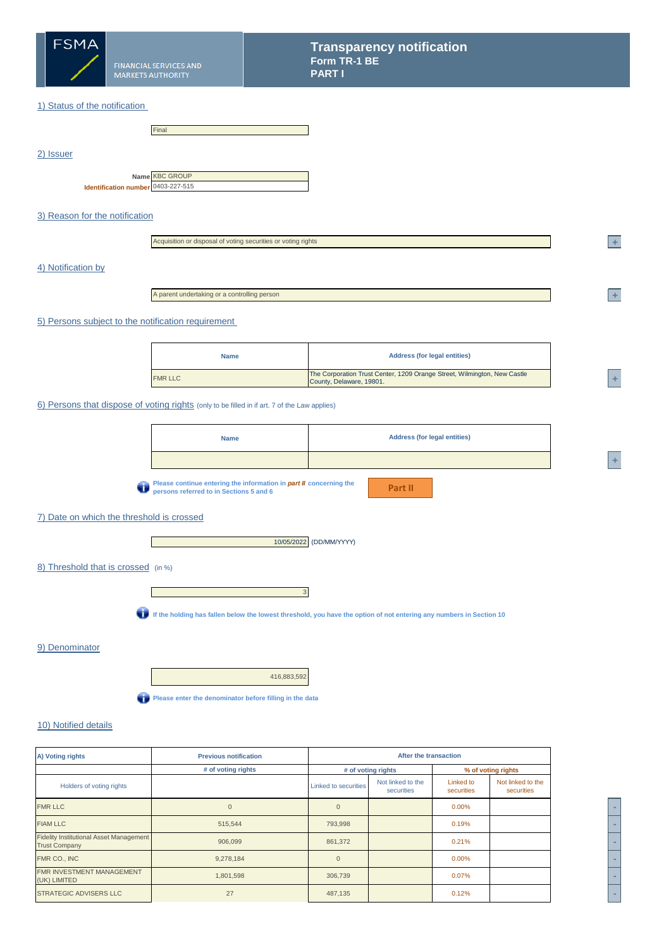

# 1) Status of the notification

|                                    | Final                 |
|------------------------------------|-----------------------|
|                                    |                       |
|                                    |                       |
|                                    |                       |
|                                    |                       |
|                                    | Name <b>KBC GROUP</b> |
| Identification number 0403-227-515 |                       |

# 3) Reason for the notification

|--|

## 4) Notification by

2) Issuer

A parent undertaking or a controlling person

### 5) Persons subject to the notification requirement

| <b>Name</b>    | <b>Address (for legal entities)</b>                                                                  |  |
|----------------|------------------------------------------------------------------------------------------------------|--|
| <b>FMR LLC</b> | The Corporation Trust Center, 1209 Orange Street, Wilmington, New Castle<br>County, Delaware, 19801. |  |

## 6) Persons that dispose of voting rights (only to be filled in if art. 7 of the Law applies)

| <b>Name</b>                                                                                      | <b>Address (for legal entities)</b> |
|--------------------------------------------------------------------------------------------------|-------------------------------------|
|                                                                                                  |                                     |
| the interesting a continue of contractions and interest and the model in a construction and con- |                                     |

**Please continue entering the information in** *part II* **concerning the persons referred to in Sections 5 and 6**

**Part II**

# 7) Date on which the threshold is crossed

**I** and



# 8) Threshold that is crossed (in %)



**If the holding has fallen below the lowest threshold, you have the option of not entering any numbers in Section 10**

#### 9) Denominator

416,883,592

**Please enter the denominator before filling in the data** 

# 10) Notified details

| After the transaction<br><b>Previous notification</b><br>A) Voting rights |                    |                             |                                 |                         |                                 |
|---------------------------------------------------------------------------|--------------------|-----------------------------|---------------------------------|-------------------------|---------------------------------|
|                                                                           | # of voting rights |                             | # of voting rights              |                         | % of voting rights              |
| Holders of voting rights                                                  |                    | <b>Linked to securities</b> | Not linked to the<br>securities | Linked to<br>securities | Not linked to the<br>securities |
| <b>FMR LLC</b>                                                            | $\Omega$           | $\Omega$                    |                                 | $0.00\%$                |                                 |
| <b>FIAM LLC</b>                                                           | 515,544            | 793,998                     |                                 | 0.19%                   |                                 |
| <b>Fidelity Institutional Asset Management</b><br><b>Trust Company</b>    | 906,099            | 861,372                     |                                 | 0.21%                   |                                 |
| FMR CO., INC                                                              | 9,278,184          | $\Omega$                    |                                 | $0.00\%$                |                                 |
| FMR INVESTMENT MANAGEMENT<br>(UK) LIMITED                                 | 1,801,598          | 306,739                     |                                 | 0.07%                   |                                 |
| <b>STRATEGIC ADVISERS LLC</b>                                             | 27                 | 487,135                     |                                 | 0.12%                   |                                 |



**<sup>2</sup> +** 

**<sup>A</sup> +**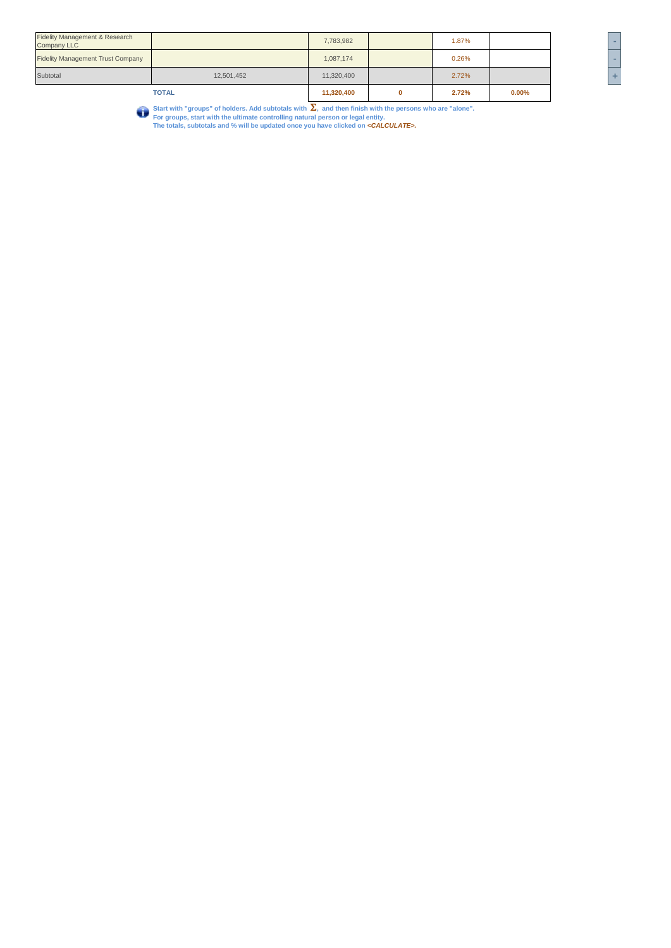|                                                                 | <b>TOTAL</b> | 11,320,400 | 2.72% | $0.00\%$ |     |
|-----------------------------------------------------------------|--------------|------------|-------|----------|-----|
| Subtotal                                                        | 12,501,452   | 11,320,400 | 2.72% |          | ÷   |
| <b>Fidelity Management Trust Company</b>                        |              | 1,087,174  | 0.26% |          |     |
| <b>Fidelity Management &amp; Research</b><br><b>Company LLC</b> |              | 7,783,982  | 1.87% |          | $-$ |

Start with "groups" of holders. Add subtotals with  $\sum$ , and then finish with the persons who are "alone".<br>For groups, start with the ultimate controlling natural person or legal entity.<br>The totals, subtotals and % will b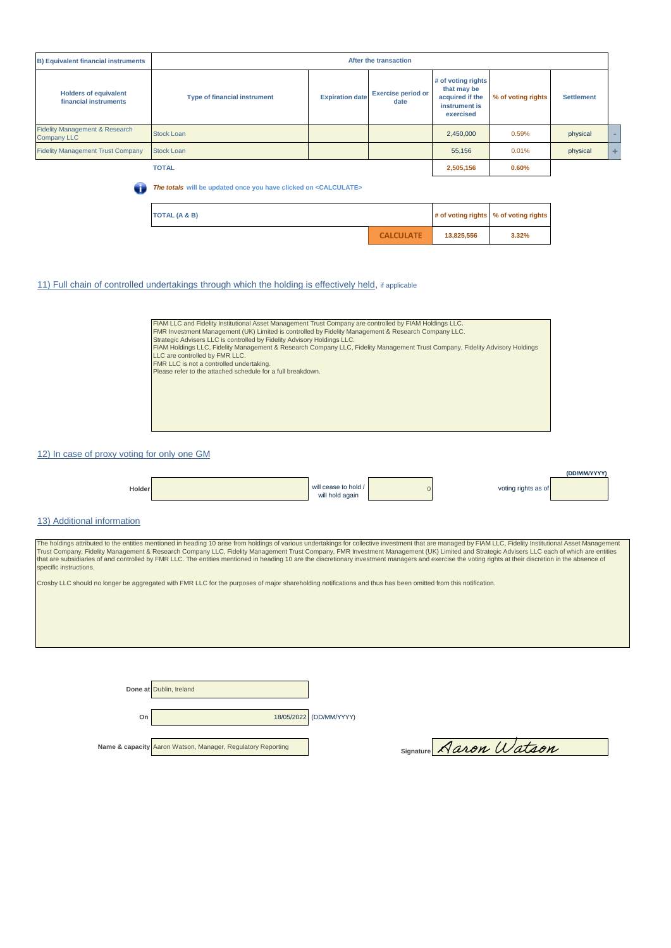| <b>B) Equivalent financial instruments</b>                      | After the transaction                                                       |                        |                                   |                                                                                    |                    |                   |   |
|-----------------------------------------------------------------|-----------------------------------------------------------------------------|------------------------|-----------------------------------|------------------------------------------------------------------------------------|--------------------|-------------------|---|
| <b>Holders of equivalent</b><br>financial instruments           | <b>Type of financial instrument</b>                                         | <b>Expiration date</b> | <b>Exercise period or</b><br>date | # of voting rights<br>that may be<br>acquired if the<br>instrument is<br>exercised | % of voting rights | <b>Settlement</b> |   |
| <b>Fidelity Management &amp; Research</b><br><b>Company LLC</b> | <b>Stock Loan</b>                                                           |                        |                                   | 2,450,000                                                                          | 0.59%              | physical          |   |
| <b>Fidelity Management Trust Company</b>                        | <b>Stock Loan</b>                                                           |                        |                                   | 55.156                                                                             | 0.01%              | physical          | ÷ |
|                                                                 | <b>TOTAL</b>                                                                |                        |                                   | 2,505,156                                                                          | 0.60%              |                   |   |
| a                                                               | The totals will be updated once you have clicked on <calculate></calculate> |                        |                                   |                                                                                    |                    |                   |   |

| TOTAL (A & B) |                  |            | # of voting rights % of voting rights |  |
|---------------|------------------|------------|---------------------------------------|--|
|               | <b>CALCULATE</b> | 13,825,556 | 3.32%                                 |  |

## 11) Full chain of controlled undertakings through which the holding is effectively held, if applicable

| FIAM LLC and Fidelity Institutional Asset Management Trust Company are controlled by FIAM Holdings LLC.                      |
|------------------------------------------------------------------------------------------------------------------------------|
| FMR Investment Management (UK) Limited is controlled by Fidelity Management & Research Company LLC.                          |
| Strategic Advisers LLC is controlled by Fidelity Advisory Holdings LLC.                                                      |
| FIAM Holdings LLC, Fidelity Management & Research Company LLC, Fidelity Management Trust Company, Fidelity Advisory Holdings |
| LLC are controlled by FMR LLC.                                                                                               |
| FMR LLC is not a controlled undertaking.                                                                                     |
| Please refer to the attached schedule for a full breakdown.                                                                  |
|                                                                                                                              |
|                                                                                                                              |
|                                                                                                                              |
|                                                                                                                              |
|                                                                                                                              |
|                                                                                                                              |
|                                                                                                                              |

### 12) In case of proxy voting for only one GM



#### 13) Additional information

The holdings attributed to the entities mentioned in heading 10 arise from holdings of various undertakings for collective investment that are managed by FIAM LLC, Fidelity Institutional Asset Management<br>Trust Company, Fid specific instructions.

Crosby LLC should no longer be aggregated with FMR LLC for the purposes of major shareholding notifications and thus has been omitted from this notification.

**Done at** Dublin, Ireland **On** 18/05/2022 (DD/MM/YYYY) **Name & capacity** Aaron Watson, Manager, Regulatory Reporting Signature **Aaron Watson**